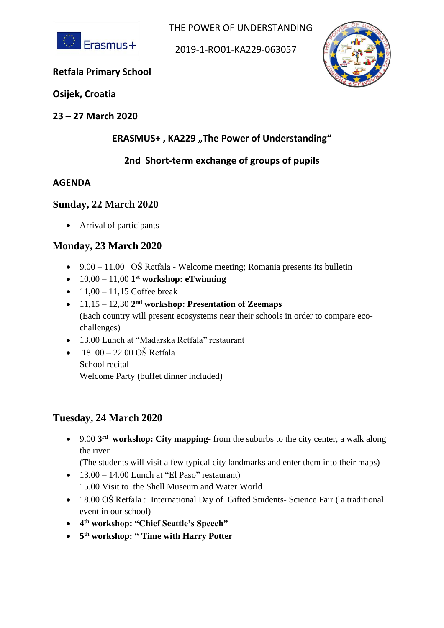

THE POWER OF UNDERSTANDING

2019-1-RO01-KA229-063057



#### **Retfala Primary School**

**Osijek, Croatia**

**23 – 27 March 2020**

# **ERASMUS+, KA229, The Power of Understanding"**

# **2nd Short-term exchange of groups of pupils**

#### **AGENDA**

### **Sunday, 22 March 2020**

• Arrival of participants

### **Monday, 23 March 2020**

- $9.00 11.00$  OŠ Retfala Welcome meeting; Romania presents its bulletin
- 10,00 11,00 **1 st workshop: eTwinning**
- $11,00 11,15$  Coffee break
- 11,15 12,30 **2 nd workshop: Presentation of Zeemaps** (Each country will present ecosystems near their schools in order to compare ecochallenges)
- 13.00 Lunch at "Mađarska Retfala" restaurant
- $18.00 22.00$  OŠ Retfala School recital Welcome Party (buffet dinner included)

# **Tuesday, 24 March 2020**

• 9.00 **3 rd workshop: City mapping-** from the suburbs to the city center, a walk along the river

(The students will visit a few typical city landmarks and enter them into their maps)

- $\bullet$  13.00 14.00 Lunch at "El Paso" restaurant) 15.00 Visit to the Shell Museum and Water World
- 18.00 OŠ Retfala : International Day of Gifted Students- Science Fair (a traditional event in our school)
- **4 th workshop: "Chief Seattle's Speech"**
- **5 th workshop: " Time with Harry Potter**